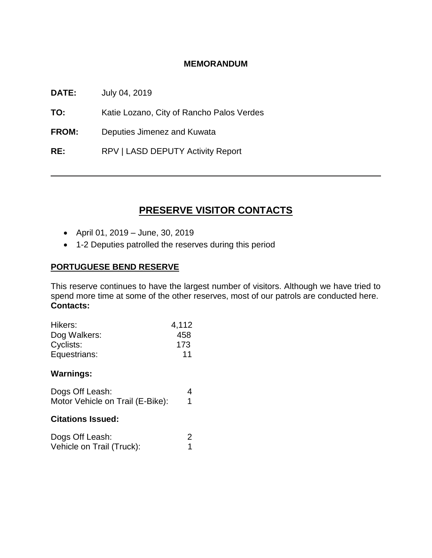#### **MEMORANDUM**

**DATE:** July 04, 2019

**TO:** Katie Lozano, City of Rancho Palos Verdes

**FROM:** Deputies Jimenez and Kuwata

**RE:** RPV | LASD DEPUTY Activity Report

# **PRESERVE VISITOR CONTACTS**

- April 01, 2019 June, 30, 2019
- 1-2 Deputies patrolled the reserves during this period

## **PORTUGUESE BEND RESERVE**

This reserve continues to have the largest number of visitors. Although we have tried to spend more time at some of the other reserves, most of our patrols are conducted here. **Contacts:**

| Hikers:      | 4,112 |
|--------------|-------|
| Dog Walkers: | 458   |
| Cyclists:    | 173   |
| Equestrians: | 11    |

#### **Warnings:**

| Dogs Off Leash:                  |  |
|----------------------------------|--|
| Motor Vehicle on Trail (E-Bike): |  |

#### **Citations Issued:**

| Dogs Off Leash:           |  |
|---------------------------|--|
| Vehicle on Trail (Truck): |  |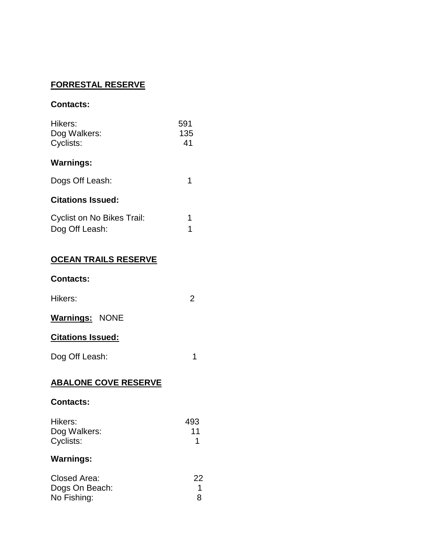## **FORRESTAL RESERVE**

#### **Contacts:**

| Hikers:<br>Dog Walkers:<br>Cyclists: | 591<br>135<br>41 |
|--------------------------------------|------------------|
| <b>Warnings:</b>                     |                  |
| Dogs Off Leash:                      | 1                |
| <b>Citations Issued:</b>             |                  |
| Cyclist on No Bikes Trail:           | 1                |
| Dog Off Leash:                       |                  |

## **OCEAN TRAILS RESERVE**

#### **Contacts:**

# **Warnings:** NONE

## **Citations Issued:**

Dog Off Leash: 1

## **ABALONE COVE RESERVE**

#### **Contacts:**

| Hikers:      | 493 |
|--------------|-----|
| Dog Walkers: | 11  |
| Cyclists:    |     |

# **Warnings:**

| Closed Area:   | 22 |
|----------------|----|
| Dogs On Beach: |    |
| No Fishing:    |    |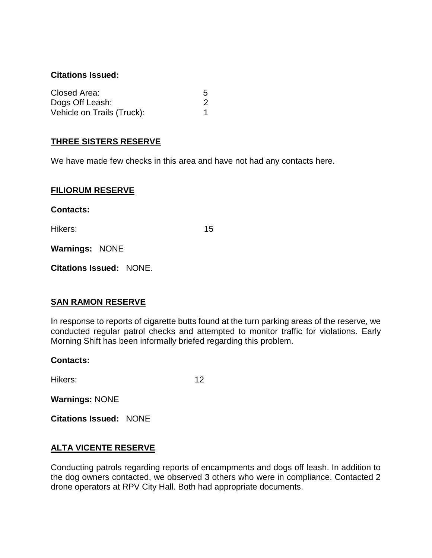#### **Citations Issued:**

| Closed Area:               | 5 |
|----------------------------|---|
| Dogs Off Leash:            |   |
| Vehicle on Trails (Truck): |   |

## **THREE SISTERS RESERVE**

We have made few checks in this area and have not had any contacts here.

#### **FILIORUM RESERVE**

**Contacts:**

Hikers: 15

**Warnings:** NONE

**Citations Issued:** NONE.

#### **SAN RAMON RESERVE**

In response to reports of cigarette butts found at the turn parking areas of the reserve, we conducted regular patrol checks and attempted to monitor traffic for violations. Early Morning Shift has been informally briefed regarding this problem.

#### **Contacts:**

Hikers: 12

**Warnings:** NONE

**Citations Issued:** NONE

#### **ALTA VICENTE RESERVE**

Conducting patrols regarding reports of encampments and dogs off leash. In addition to the dog owners contacted, we observed 3 others who were in compliance. Contacted 2 drone operators at RPV City Hall. Both had appropriate documents.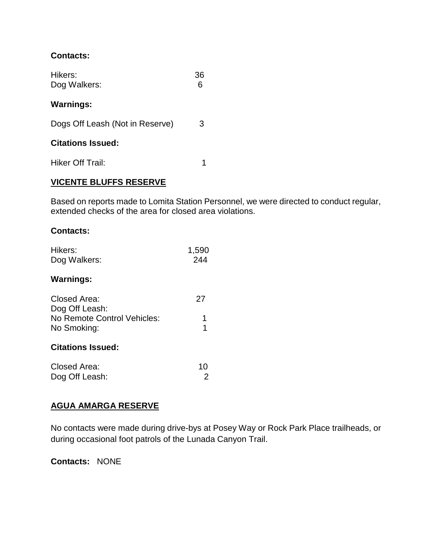## **Contacts:**

| Hikers:<br>Dog Walkers:         | 36 |
|---------------------------------|----|
| <b>Warnings:</b>                |    |
| Dogs Off Leash (Not in Reserve) | З  |
| <b>Citations Issued:</b>        |    |
| Hiker Off Trail:                | 1  |

## **VICENTE BLUFFS RESERVE**

Based on reports made to Lomita Station Personnel, we were directed to conduct regular, extended checks of the area for closed area violations.

#### **Contacts:**

| Hikers:<br>Dog Walkers:        | 1,590<br>244 |
|--------------------------------|--------------|
| <b>Warnings:</b>               |              |
| Closed Area:<br>Dog Off Leash: | 27           |
| No Remote Control Vehicles:    |              |
| No Smoking:                    | 1            |
| <b>Citations Issued:</b>       |              |
| Closed Area:                   | 10           |
| Dog Off Leash:                 | 2            |

# **AGUA AMARGA RESERVE**

No contacts were made during drive-bys at Posey Way or Rock Park Place trailheads, or during occasional foot patrols of the Lunada Canyon Trail.

**Contacts:** NONE